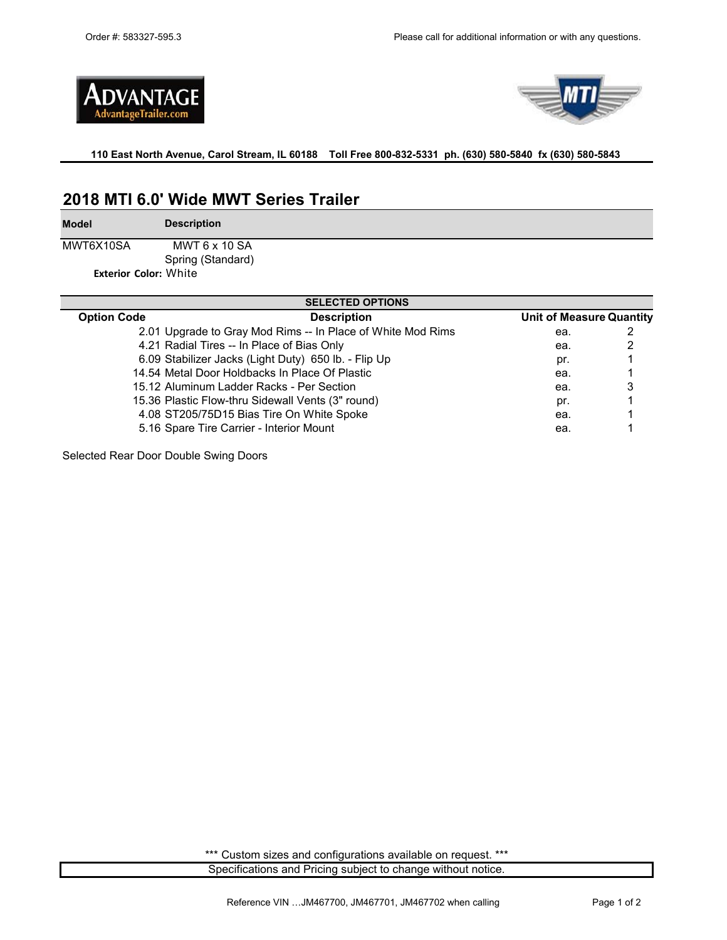



**110 East North Avenue, Carol Stream, IL 60188 Toll Free 800-832-5331 ph. (630) 580-5840 fx (630) 580-5843** 

# **2018 MTI 6.0' Wide MWT Series Trailer**

**Model**

**Description**

MWT6X10SA MWT 6 x 10 SA Spring (Standard)

**Exterior Color:** White

| <b>SELECTED OPTIONS</b> |                                                             |                                 |   |  |  |  |  |
|-------------------------|-------------------------------------------------------------|---------------------------------|---|--|--|--|--|
| <b>Option Code</b>      | <b>Description</b>                                          | <b>Unit of Measure Quantity</b> |   |  |  |  |  |
|                         | 2.01 Upgrade to Gray Mod Rims -- In Place of White Mod Rims | ea.                             |   |  |  |  |  |
|                         | 4.21 Radial Tires -- In Place of Bias Only                  | ea.                             |   |  |  |  |  |
|                         | 6.09 Stabilizer Jacks (Light Duty) 650 lb. - Flip Up        | pr.                             |   |  |  |  |  |
|                         | 14.54 Metal Door Holdbacks In Place Of Plastic              | ea.                             |   |  |  |  |  |
|                         | 15.12 Aluminum Ladder Racks - Per Section                   | ea.                             | 3 |  |  |  |  |
|                         | 15.36 Plastic Flow-thru Sidewall Vents (3" round)           | pr.                             |   |  |  |  |  |
|                         | 4.08 ST205/75D15 Bias Tire On White Spoke                   | ea.                             |   |  |  |  |  |
|                         | 5.16 Spare Tire Carrier - Interior Mount                    | ea.                             |   |  |  |  |  |

Selected Rear Door Double Swing Doors

Specifications and Pricing subject to change without notice. \*\*\* Custom sizes and configurations available on request. \*\*\*